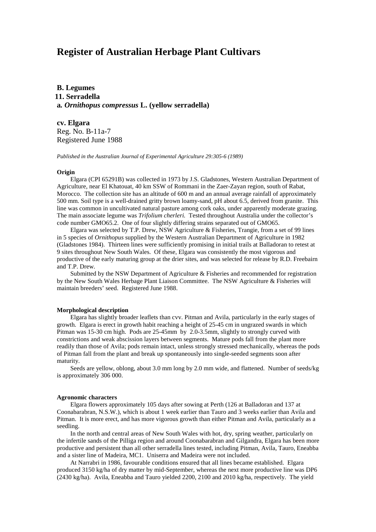# **Register of Australian Herbage Plant Cultivars**

**B. Legumes 11. Serradella a***. Ornithopus compressus* **L. (yellow serradella)**

**cv. Elgara** Reg. No. B-11a-7 Registered June 1988

*Published in the Australian Journal of Experimental Agriculture 29:305-6 (1989)*

### **Origin**

Elgara (CPI 65291B) was collected in 1973 by J.S. Gladstones, Western Australian Department of Agriculture, near El Khatouat, 40 km SSW of Rommani in the Zaer-Zayan region, south of Rabat, Morocco. The collection site has an altitude of 600 m and an annual average rainfall of approximately 500 mm. Soil type is a well-drained gritty brown loamy-sand, pH about 6.5, derived from granite. This line was common in uncultivated natural pasture among cork oaks, under apparently moderate grazing. The main associate legume was *Trifolium cherleri.* Tested throughout Australia under the collector's code number GMO65.2. One of four slightly differing strains separated out of GMO65.

Elgara was selected by T.P. Drew, NSW Agriculture & Fisheries, Trangie, from a set of 99 lines in 5 species of *Ornithopus* supplied by the Western Australian Department of Agriculture in 1982 (Gladstones 1984). Thirteen lines were sufficiently promising in initial trails at Balladoran to retest at 9 sites throughout New South Wales. Of these, Elgara was consistently the most vigorous and productive of the early maturing group at the drier sites, and was selected for release by R.D. Freebairn and T.P. Drew.

Submitted by the NSW Department of Agriculture & Fisheries and recommended for registration by the New South Wales Herbage Plant Liaison Committee. The NSW Agriculture & Fisheries will maintain breeders' seed. Registered June 1988.

#### **Morphological description**

Elgara has slightly broader leaflets than cvv. Pitman and Avila, particularly in the early stages of growth. Elgara is erect in growth habit reaching a height of 25-45 cm in ungrazed swards in which Pitman was 15-30 cm high. Pods are 25-45mm by 2.0-3.5mm, slightly to strongly curved with constrictions and weak abscission layers between segments. Mature pods fall from the plant more readily than those of Avila; pods remain intact, unless strongly stressed mechanically, whereas the pods of Pitman fall from the plant and break up spontaneously into single-seeded segments soon after maturity.

Seeds are yellow, oblong, about 3.0 mm long by 2.0 mm wide, and flattened. Number of seeds/kg is approximately 306 000.

## **Agronomic characters**

Elgara flowers approximately 105 days after sowing at Perth (126 at Balladoran and 137 at Coonabarabran, N.S.W.), which is about 1 week earlier than Tauro and 3 weeks earlier than Avila and Pitman. It is more erect, and has more vigorous growth than either Pitman and Avila, particularly as a seedling.

In the north and central areas of New South Wales with hot, dry, spring weather, particularly on the infertile sands of the Pilliga region and around Coonabarabran and Gilgandra, Elgara has been more productive and persistent than all other serradella lines tested, including Pitman, Avila, Tauro, Eneabba and a sister line of Madeira, MC1. Uniserra and Madeira were not included.

At Narrabri in 1986, favourable conditions ensured that all lines became established. Elgara produced 3150 kg/ha of dry matter by mid-September, whereas the next more productive line was DP6 (2430 kg/ha). Avila, Eneabba and Tauro yielded 2200, 2100 and 2010 kg/ha, respectively. The yield